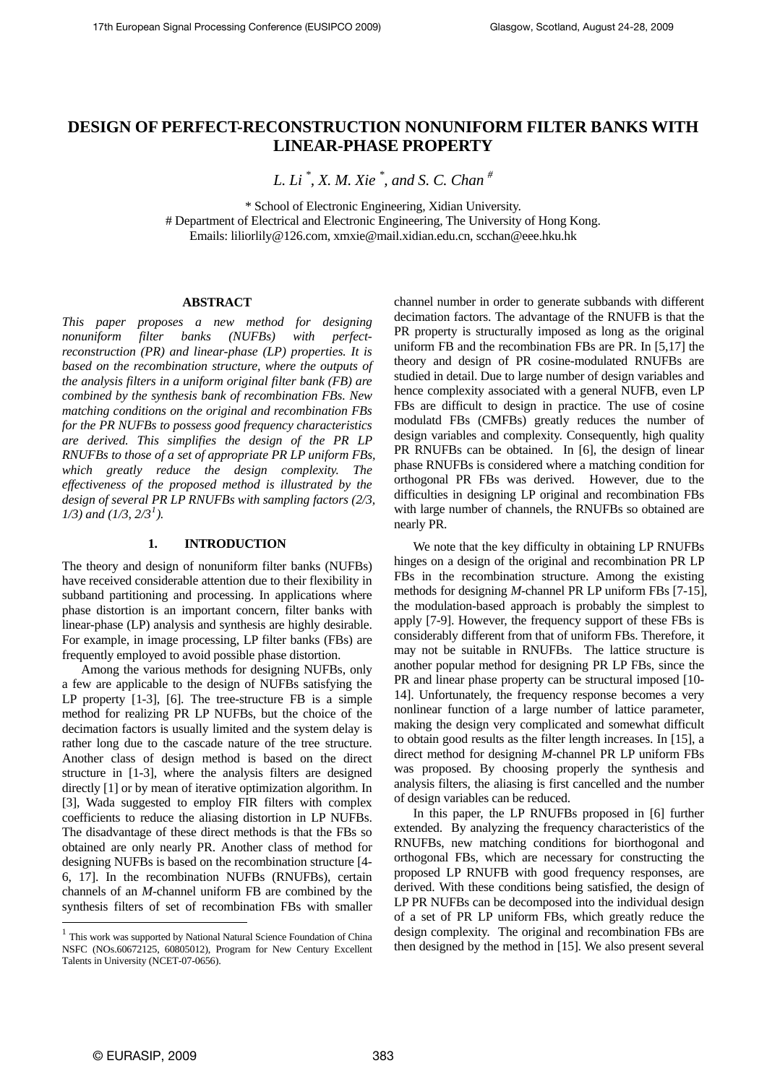# **DESIGN OF PERFECT-RECONSTRUCTION NONUNIFORM FILTER BANKS WITH LINEAR-PHASE PROPERTY**

*L. Li \* , X. M. Xie \* , and S. C. Chan #*

\* School of Electronic Engineering, Xidian University.

# Department of Electrical and Electronic Engineering, The University of Hong Kong. Emails: liliorlily@126.com, xmxie@mail.xidian.edu.cn, scchan@eee.hku.hk

# **ABSTRACT**

*This paper proposes a new method for designing nonuniform filter banks (NUFBs) with perfectreconstruction (PR) and linear-phase (LP) properties. It is based on the recombination structure, where the outputs of the analysis filters in a uniform original filter bank (FB) are combined by the synthesis bank of recombination FBs. New matching conditions on the original and recombination FBs for the PR NUFBs to possess good frequency characteristics are derived. This simplifies the design of the PR LP RNUFBs to those of a set of appropriate PR LP uniform FBs, which greatly reduce the design complexity. The effectiveness of the proposed method is illustrated by the design of several PR LP RNUFBs with sampling factors (2/3, 1/3) and (1/3, 2/3[1](#page-0-0) ).* 

## **1. INTRODUCTION**

The theory and design of nonuniform filter banks (NUFBs) have received considerable attention due to their flexibility in subband partitioning and processing. In applications where phase distortion is an important concern, filter banks with linear-phase (LP) analysis and synthesis are highly desirable. For example, in image processing, LP filter banks (FBs) are frequently employed to avoid possible phase distortion.

 Among the various methods for designing NUFBs, only a few are applicable to the design of NUFBs satisfying the LP property [1-3], [6]. The tree-structure FB is a simple method for realizing PR LP NUFBs, but the choice of the decimation factors is usually limited and the system delay is rather long due to the cascade nature of the tree structure. Another class of design method is based on the direct structure in [1-3], where the analysis filters are designed directly [1] or by mean of iterative optimization algorithm. In [3], Wada suggested to employ FIR filters with complex coefficients to reduce the aliasing distortion in LP NUFBs. The disadvantage of these direct methods is that the FBs so obtained are only nearly PR. Another class of method for designing NUFBs is based on the recombination structure [4- 6, 17]. In the recombination NUFBs (RNUFBs), certain channels of an *M*-channel uniform FB are combined by the synthesis filters of set of recombination FBs with smaller channel number in order to generate subbands with different decimation factors. The advantage of the RNUFB is that the PR property is structurally imposed as long as the original uniform FB and the recombination FBs are PR. In [5,17] the theory and design of PR cosine-modulated RNUFBs are studied in detail. Due to large number of design variables and hence complexity associated with a general NUFB, even LP FBs are difficult to design in practice. The use of cosine modulatd FBs (CMFBs) greatly reduces the number of design variables and complexity. Consequently, high quality PR RNUFBs can be obtained. In [6], the design of linear phase RNUFBs is considered where a matching condition for orthogonal PR FBs was derived. However, due to the difficulties in designing LP original and recombination FBs with large number of channels, the RNUFBs so obtained are nearly PR.

 We note that the key difficulty in obtaining LP RNUFBs hinges on a design of the original and recombination PR LP FBs in the recombination structure. Among the existing methods for designing *M*-channel PR LP uniform FBs [7-15], the modulation-based approach is probably the simplest to apply [7-9]. However, the frequency support of these FBs is considerably different from that of uniform FBs. Therefore, it may not be suitable in RNUFBs. The lattice structure is another popular method for designing PR LP FBs, since the PR and linear phase property can be structural imposed [10- 14]. Unfortunately, the frequency response becomes a very nonlinear function of a large number of lattice parameter, making the design very complicated and somewhat difficult to obtain good results as the filter length increases. In [15], a direct method for designing *M*-channel PR LP uniform FBs was proposed. By choosing properly the synthesis and analysis filters, the aliasing is first cancelled and the number of design variables can be reduced.

 In this paper, the LP RNUFBs proposed in [6] further extended. By analyzing the frequency characteristics of the RNUFBs, new matching conditions for biorthogonal and orthogonal FBs, which are necessary for constructing the proposed LP RNUFB with good frequency responses, are derived. With these conditions being satisfied, the design of LP PR NUFBs can be decomposed into the individual design of a set of PR LP uniform FBs, which greatly reduce the design complexity. The original and recombination FBs are then designed by the method in [15]. We also present several

l

<span id="page-0-0"></span><sup>1</sup> This work was supported by National Natural Science Foundation of China NSFC (NOs.60672125, 60805012), Program for New Century Excellent Talents in University (NCET-07-0656).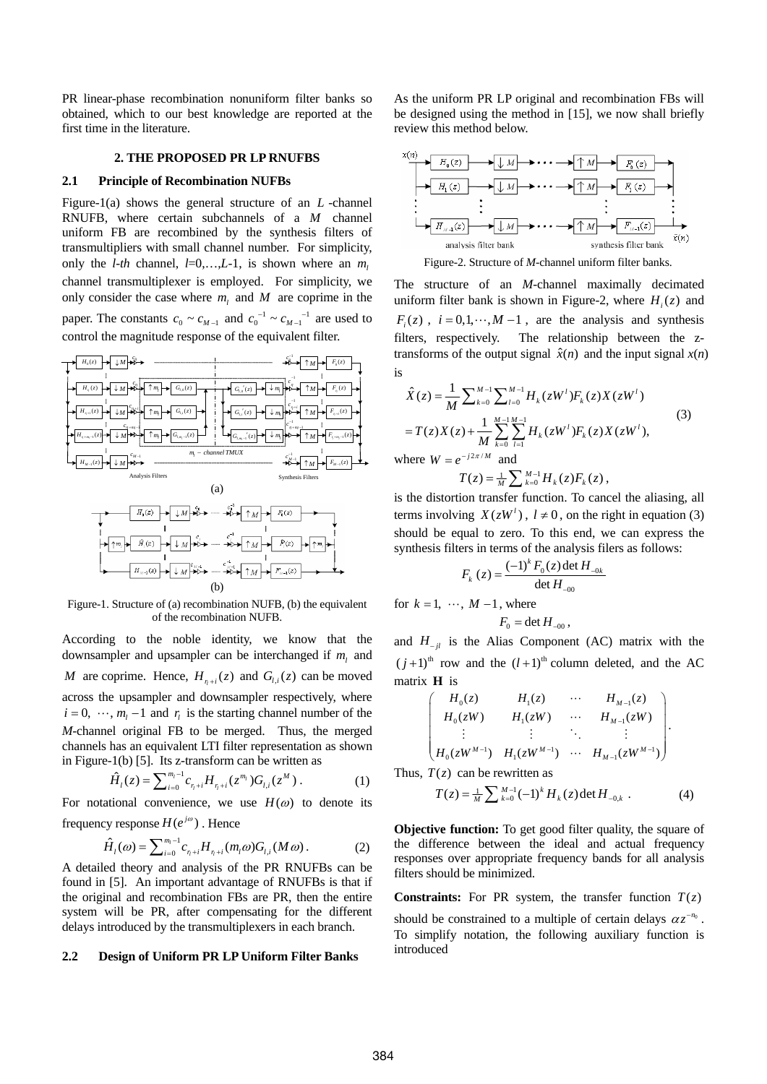PR linear-phase recombination nonuniform filter banks so obtained, which to our best knowledge are reported at the first time in the literature.

## **2. THE PROPOSED PR LP RNUFBS**

# **2.1 Principle of Recombination NUFBs**

Figure-1(a) shows the general structure of an *L* -channel RNUFB, where certain subchannels of a *M* channel uniform FB are recombined by the synthesis filters of transmultipliers with small channel number. For simplicity, only the *l-th* channel,  $l=0,...,L-1$ , is shown where an  $m_l$ channel transmultiplexer is employed. For simplicity, we only consider the case where  $m_l$  and  $M$  are coprime in the paper. The constants  $c_0 \sim c_{M-1}$  and  $c_0^{-1} \sim c_{M-1}^{-1}$  are used to control the magnitude response of the equivalent filter.



Figure-1. Structure of (a) recombination NUFB, (b) the equivalent of the recombination NUFB.

According to the noble identity, we know that the downsampler and upsampler can be interchanged if  $m_l$  and *M* are coprime. Hence,  $H_{\eta+i}(z)$  and  $G_{l,i}(z)$  can be moved across the upsampler and downsampler respectively, where  $i = 0, \dots, m_l - 1$  and  $r_i$  is the starting channel number of the *M*-channel original FB to be merged. Thus, the merged channels has an equivalent LTI filter representation as shown in Figure-1(b) [5]. Its z-transform can be written as

$$
\hat{H}_l(z) = \sum_{i=0}^{m_l-1} c_{\eta+i} H_{\eta+i}(z^{m_l}) G_{l,i}(z^M).
$$
 (1)

For notational convenience, we use  $H(\omega)$  to denote its frequency response  $H(e^{j\omega})$ . Hence

$$
\hat{H}_l(\omega) = \sum_{i=0}^{m_l-1} c_{r_l+i} H_{r_l+i}(m_l \omega) G_{l,i}(M \omega).
$$
 (2)

A detailed theory and analysis of the PR RNUFBs can be found in [5]. An important advantage of RNUFBs is that if the original and recombination FBs are PR, then the entire system will be PR, after compensating for the different delays introduced by the transmultiplexers in each branch.

#### **2.2 Design of Uniform PR LP Uniform Filter Banks**

As the uniform PR LP original and recombination FBs will be designed using the method in [15], we now shall briefly review this method below.



Figure-2. Structure of *M*-channel uniform filter banks.

The structure of an *M*-channel maximally decimated uniform filter bank is shown in Figure-2, where  $H_i(z)$  and  $F_i(z)$ ,  $i = 0, 1, \dots, M-1$ , are the analysis and synthesis filters, respectively. The relationship between the ztransforms of the output signal  $\hat{x}(n)$  and the input signal  $x(n)$ is

$$
\hat{X}(z) = \frac{1}{M} \sum_{k=0}^{M-1} \sum_{l=0}^{M-1} H_k(zW^l) F_k(z) X(zW^l) \n= T(z)X(z) + \frac{1}{M} \sum_{k=0}^{M-1} \sum_{l=1}^{M-1} H_k(zW^l) F_k(z) X(zW^l),
$$
\nwhere  $W = e^{-j2\pi/M}$  and\n
$$
T(z) = \frac{1}{M} \sum_{k=0}^{M-1} H_k(z) F_k(z),
$$
\n(3)

is the distortion transfer function. To cancel the aliasing, all terms involving  $X(zW^l)$ ,  $l \neq 0$ , on the right in equation (3) should be equal to zero. To this end, we can express the synthesis filters in terms of the analysis filers as follows:

$$
F_k(z) = \frac{(-1)^k F_0(z) \det H_{-0k}}{\det H_{-00}}
$$

for  $k = 1, \dots, M - 1$ , where

$$
F_0 = \det H_{-00},
$$
  
and  $H_{-jl}$  is the Alias Component (AC) matrix with the

 $(j+1)$ <sup>th</sup> row and the  $(l+1)$ <sup>th</sup> column deleted, and the AC matrix **H** is

$$
\begin{pmatrix}\nH_0(z) & H_1(z) & \cdots & H_{M-1}(z) \\
H_0(zW) & H_1(zW) & \cdots & H_{M-1}(zW) \\
\vdots & \vdots & \ddots & \vdots \\
H_0(zW^{M-1}) & H_1(zW^{M-1}) & \cdots & H_{M-1}(zW^{M-1})\n\end{pmatrix}.
$$

Thus,  $T(z)$  can be rewritten as

$$
T(z) = \frac{1}{M} \sum_{k=0}^{M-1} (-1)^k H_k(z) \det H_{-0,k} . \tag{4}
$$

**Objective function:** To get good filter quality, the square of the difference between the ideal and actual frequency responses over appropriate frequency bands for all analysis filters should be minimized.

**Constraints:** For PR system, the transfer function  $T(z)$ should be constrained to a multiple of certain delays  $\alpha z^{-n_0}$ . To simplify notation, the following auxiliary function is introduced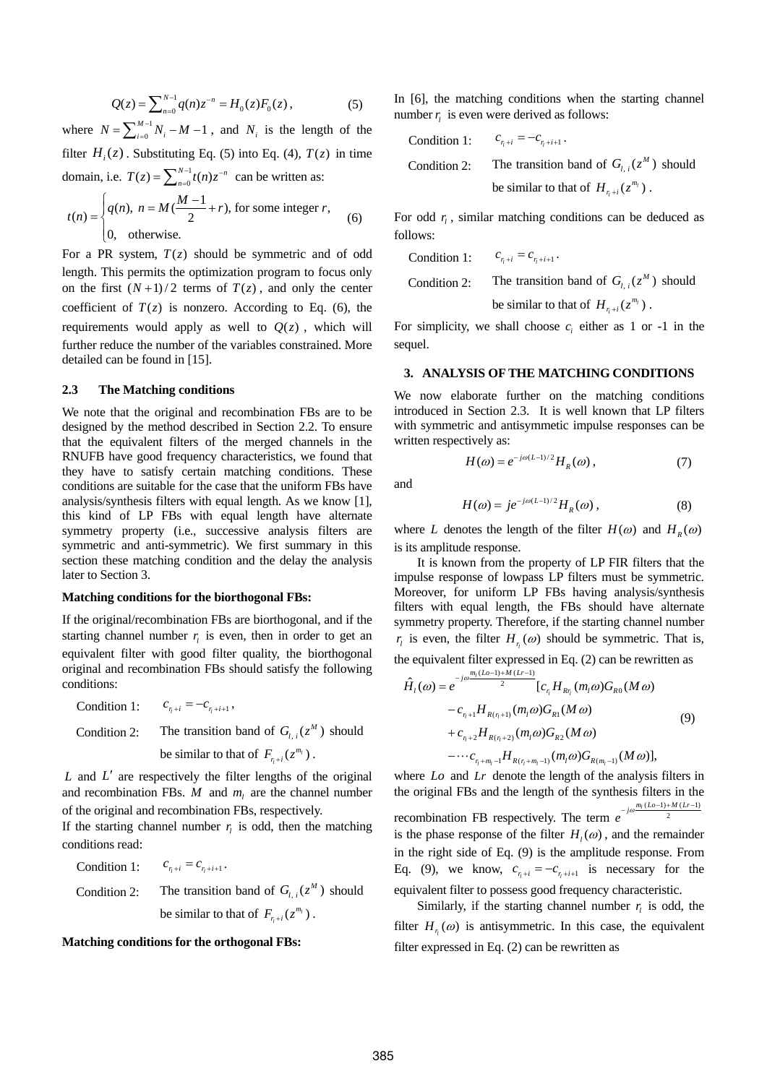$$
Q(z) = \sum_{n=0}^{N-1} q(n) z^{-n} = H_0(z) F_0(z) , \qquad (5)
$$

where  $N = \sum_{i=0}^{M-1} N_i - M - 1$ , and  $N_i$  is the length of the filter  $H_i(z)$ . Substituting Eq. (5) into Eq. (4),  $T(z)$  in time domain, i.e.  $T(z) = \sum_{n=0}^{N-1} t(n) z^{-n}$  can be written as:

$$
t(n) = \begin{cases} q(n), & n = M(\frac{M-1}{2} + r), \text{ for some integer } r, \\ 0, & \text{otherwise.} \end{cases}
$$
 (6)

For a PR system,  $T(z)$  should be symmetric and of odd length. This permits the optimization program to focus only on the first  $(N+1)/2$  terms of  $T(z)$ , and only the center coefficient of  $T(z)$  is nonzero. According to Eq. (6), the requirements would apply as well to  $Q(z)$ , which will further reduce the number of the [variables](http://dict.cnki.net/dict_result.aspx?searchword=%e5%8f%98%e9%87%8f&tjType=sentence&style=&t=variables) constrained. More detailed can be found in [15].

## **2.3 The Matching conditions**

We note that the original and recombination FBs are to be designed by the method described in Section 2.2. To ensure that the equivalent filters of the merged channels in the RNUFB have good frequency characteristics, we found that they have to satisfy certain matching conditions. These conditions are suitable for the case that the uniform FBs have analysis/synthesis filters with equal length. As we know [1], this kind of LP FBs with equal length have alternate symmetry property (i.e., successive analysis filters are symmetric and anti-symmetric). We first summary in this section these matching condition and the delay the analysis later to Section 3.

#### **Matching conditions for the biorthogonal FBs:**

If the original/recombination FBs are biorthogonal, and if the starting channel number  $r_i$  is even, then in order to get an equivalent filter with good filter quality, the biorthogonal original and recombination FBs should satisfy the following conditions:

Condition 1: 
$$
c_{\eta+i} = -c_{\eta+i+1}
$$
,  
Condition 2: The transition band of  $G_{l,i}(z^M)$  should  
be similar to that of  $F_{\eta+i}(z^{m_l})$ .

 $L$  and  $L'$  are respectively the filter lengths of the original and recombination FBs.  $M$  and  $m_l$  are the channel number of the original and recombination FBs, respectively.

If the starting channel number  $r_i$  is odd, then the matching conditions read:

Condition 1:  $c_{r_i+i} = c_{r_i+i+1}$ . Condition 2: The transition band of  $G_{l,i}(z^M)$  should be similar to that of  $F_{r_i+i}(z^{m_i})$ .

## **Matching conditions for the orthogonal FBs:**

In [6], the matching conditions when the starting channel number  $r_i$  is even were derived as follows:

Condition 1: 
$$
c_{r_i+i} = -c_{r_i+i+1}
$$
.  
Condition 2: The transition band of  $G_{l,i}(z^M)$  should  
be similar to that of  $H_{r_i+i}(z^{m_i})$ .

For odd  $r_i$ , similar matching conditions can be deduced as follows:

Condition 1: 
$$
c_{\eta+i} = c_{\eta+i+1}
$$
.  
Condition 2: The transition band of  $G_{l,i}(z^M)$  should  
be similar to that of  $H_{\eta+i}(z^{m_l})$ .

For simplicity, we shall choose  $c_i$  either as 1 or -1 in the sequel.

## **3. ANALYSIS OF THE MATCHING CONDITIONS**

We now elaborate further on the matching conditions introduced in Section 2.3. It is well known that LP filters with symmetric and antisymmetic impulse responses can be written respectively as:

and

$$
f_{\rm{max}}
$$

 $H(\omega) = e^{-j\omega (L-1)/2} H_R(\omega)$ , (7)

$$
H(\omega) = je^{-j\omega(L-1)/2} H_R(\omega), \qquad (8)
$$

where *L* denotes the length of the filter  $H(\omega)$  and  $H_R(\omega)$ is its amplitude response.

 It is known from the property of LP FIR filters that the impulse response of lowpass LP filters must be symmetric. Moreover, for uniform LP FBs having analysis/synthesis filters with equal length, the FBs should have alternate symmetry property. Therefore, if the starting channel number  $r_l$  is even, the filter  $H_{r_l}(\omega)$  should be symmetric. That is, the equivalent filter expressed in Eq. (2) can be rewritten as

$$
\hat{H}_{l}(\omega) = e^{-j\omega \frac{m_{l}(L\omega - 1) + M(Lr - 1)}{2}} [c_{r_{l}} H_{Rr_{l}}(m_{l}\omega) G_{R0}(M\omega) \n- c_{r_{l}+1} H_{R(r_{l}+1)}(m_{l}\omega) G_{R1}(M\omega) \n+ c_{r_{l}+2} H_{R(r_{l}+2)}(m_{l}\omega) G_{R2}(M\omega) \n- \cdots c_{r_{l}+m_{l}-1} H_{R(r_{l}+m_{l}-1)}(m_{l}\omega) G_{R(m_{l}-1)}(M\omega)],
$$
\n(9)

where *Lo* and *Lr* denote the length of the analysis filters in the original FBs and the length of the synthesis filters in the recombination FB respectively. The term  $e^{-j\omega \frac{m_l(Lo-1)+M(Lr-1)}{2}}$  $e^{-j\omega \frac{m_l(Lo-1)+M(Lr-1)}{2}}$ is the phase response of the filter  $H_l(\omega)$ , and the remainder in the right side of Eq. (9) is the amplitude response. From Eq. (9), we know,  $c_{n+i} = -c_{n+i+1}$  is necessary for the equivalent filter to possess good frequency characteristic.

Similarly, if the starting channel number  $r_i$  is odd, the filter  $H_{n}(\omega)$  is antisymmetric. In this case, the equivalent filter expressed in Eq. (2) can be rewritten as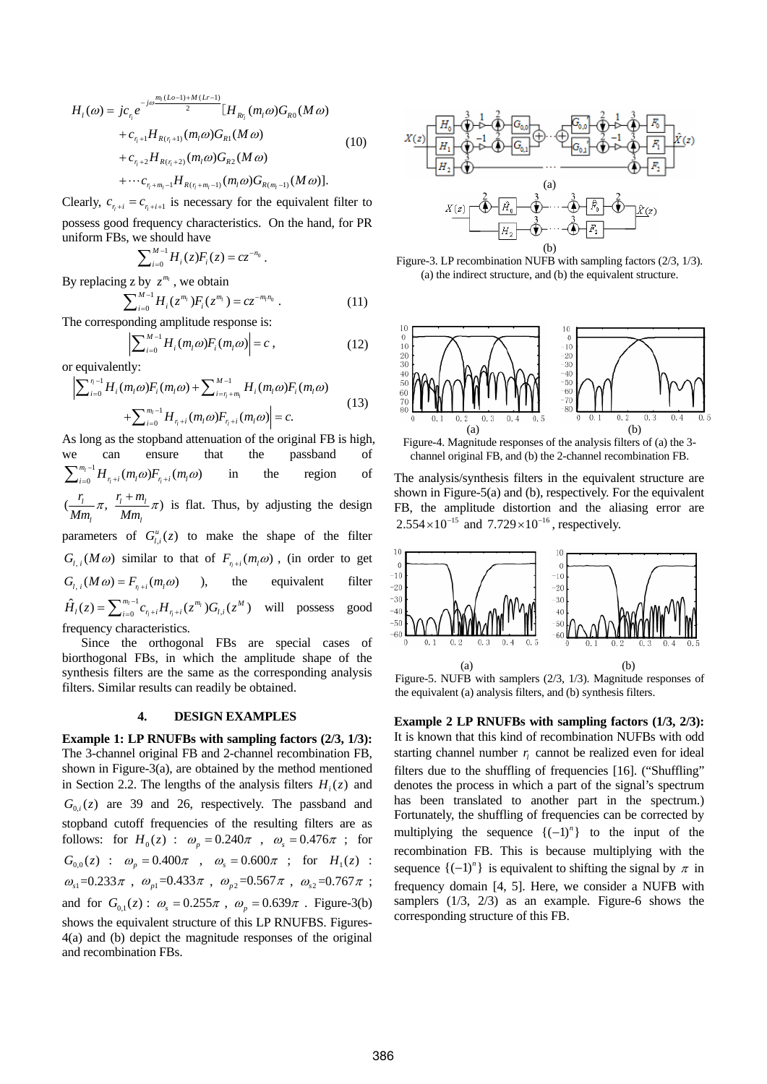$$
H_{l}(\omega) = j c_{r_{l}} e^{-j\omega \frac{m_{l}(L\omega - 1) + M(Lr - 1)}{2}} [H_{R_{r_{l}}} (m_{l}\omega) G_{R0} (M\omega) + c_{r_{l}+1} H_{R(r_{l}+1)} (m_{l}\omega) G_{R1} (M\omega) + c_{r_{l}+2} H_{R(r_{l}+2)} (m_{l}\omega) G_{R2} (M\omega) + \cdots c_{r_{l}+m_{l}-1} H_{R(r_{l}+m_{l}-1)} (m_{l}\omega) G_{R(m_{l}-1)} (M\omega)].
$$
\n(10)

Clearly,  $c_{n+1} = c_{n+1}$  is necessary for the equivalent filter to possess good frequency characteristics. On the hand, for PR uniform FBs, we should have

$$
\sum\nolimits_{i=0}^{M-1} H_i(z) F_i(z) = c z^{-n_0}.
$$

By replacing z by  $z^{m_l}$ , we obtain

$$
\sum_{i=0}^{M-1} H_i(z^{m_i}) F_i(z^{m_i}) = cz^{-m_i n_0} \t\t(11)
$$

The corresponding amplitude response is:

$$
\left|\sum_{i=0}^{M-1} H_i(m_i\omega) F_i(m_i\omega)\right| = c \,,\tag{12}
$$

or equivalently:

$$
\left| \sum_{i=0}^{\eta-1} H_i(m_i \omega) F_i(m_i \omega) + \sum_{i=\eta+m_i}^{M-1} H_i(m_i \omega) F_i(m_i \omega) + \sum_{i=0}^{m_i-1} H_{\eta+i}(m_i \omega) F_{\eta+i}(m_i \omega) \right| = c.
$$
\n(13)

As long as the stopband attenuation of the original FB is high, we can ensure that the passband of  $\sum_{m_1-1}^{m_1-1}$  1.1 (1) 1.1 (1) 1.1 (1) 1.1 (1) 1.1 (1) 1.1 (1) 1.1 (1) 1.1 (1) 1.1 (1) 1.1 (1) 1.1 (1) 1.1 (1) 1.1 (1) 1.1 (1) 1.1 (1) 1.1 (1) 1.1 (1) 1.1 (1) 1.1 (1) 1.1 (1) 1.1 (1)  $\int_{t_0}^{t_1-1} H_{\eta+i}(m_l\omega) F_{\eta+i}(m_l\omega)$  $\sum_{i=0}^{m_i-1} H_{r_i+i}(m_i \omega) F_{r_i+i}(m_i \omega)$  in the region of  $\left( \frac{l_1}{l_1} \pi, \frac{l_1 + m_1}{l_1} \right)$ *l l*  $r_i$   $r_i + m$  $\frac{r_i}{Mm_i}$   $\pi$ ,  $\frac{r_i + m_i}{Mm_i}$   $\pi$ ) is flat. Thus, by adjusting the design parameters of  $G_{l,i}^{u}(z)$  to make the shape of the filter  $G_i$ ,  $(M\omega)$  similar to that of  $F_{n+i}(m_i\omega)$ , (in order to get  $G_{l,i}(M\omega) = F_{n+i}(m_i\omega)$  ), the equivalent filter 1  $\hat{H}_{l}(z) = \sum_{i=0}^{m_{l}-1} c_{r_{l}+i} H_{r_{l}+i}(z^{m_{l}}) G_{l,i}(z^{M})$  $\hat{H}_l(z) = \sum_{i=0}^{m_l-1} c_{r_l+i} H_{r_l+i}(z^{m_l}) G_{l,i}(z^M)$  will possess good frequency characteristics.

 Since the orthogonal FBs are special cases of biorthogonal FBs, in which the amplitude shape of the synthesis filters are the same as the corresponding analysis filters. Similar results can readily be obtained.

# **4. DESIGN EXAMPLES**

**Example 1: LP RNUFBs with sampling factors (2/3, 1/3):**  The 3-channel original FB and 2-channel recombination FB, shown in Figure-3(a), are obtained by the method mentioned in Section 2.2. The lengths of the analysis filters  $H_i(z)$  and  $G_{0,i}(z)$  are 39 and 26, respectively. The passband and stopband cutoff frequencies of the resulting filters are as follows: for  $H_0(z)$  :  $\omega_p = 0.240\pi$ ,  $\omega_s = 0.476\pi$ ; for  $G_{0.0}(z)$  :  $\omega_p = 0.400\pi$  ,  $\omega_s = 0.600\pi$  ; for  $H_1(z)$  :  $\omega_{s_1}$ =0.233 $\pi$ ,  $\omega_{p_1}$ =0.433 $\pi$ ,  $\omega_{p_2}$ =0.567 $\pi$ ,  $\omega_{s_2}$ =0.767 $\pi$ ; and for  $G_{0,1}(z)$ :  $\omega_s = 0.255\pi$ ,  $\omega_p = 0.639\pi$ . Figure-3(b) shows the equivalent structure of this LP RNUFBS. Figures-4(a) and (b) depict the magnitude responses of the original and recombination FBs.



Figure-3. LP recombination NUFB with sampling factors (2/3, 1/3). (a) the indirect structure, and (b) the equivalent structure.



Figure-4. Magnitude responses of the analysis filters of (a) the 3 channel original FB, and (b) the 2-channel recombination FB.

The analysis/synthesis filters in the equivalent structure are shown in Figure-5(a) and (b), respectively. For the equivalent FB, the amplitude distortion and the aliasing error are  $2.554 \times 10^{-15}$  and  $7.729 \times 10^{-16}$ , respectively.



Figure-5. NUFB with samplers (2/3, 1/3). Magnitude responses of the equivalent (a) analysis filters, and (b) synthesis filters.

**Example 2 LP RNUFBs with sampling factors (1/3, 2/3):**  It is known that this kind of recombination NUFBs with odd starting channel number  $r_i$  cannot be realized even for ideal filters due to the shuffling of frequencies [16]. ("Shuffling" denotes the process in which a part of the signal's spectrum has been translated to another part in the spectrum.) Fortunately, the shuffling of frequencies can be corrected by multiplying the sequence  $\{(-1)^n\}$  to the input of the recombination FB. This is because multiplying with the sequence  $\{(-1)^n\}$  is equivalent to shifting the signal by  $\pi$  in frequency domain [4, 5]. Here, we consider a NUFB with samplers (1/3, 2/3) as an example. Figure-6 shows the corresponding structure of this FB.